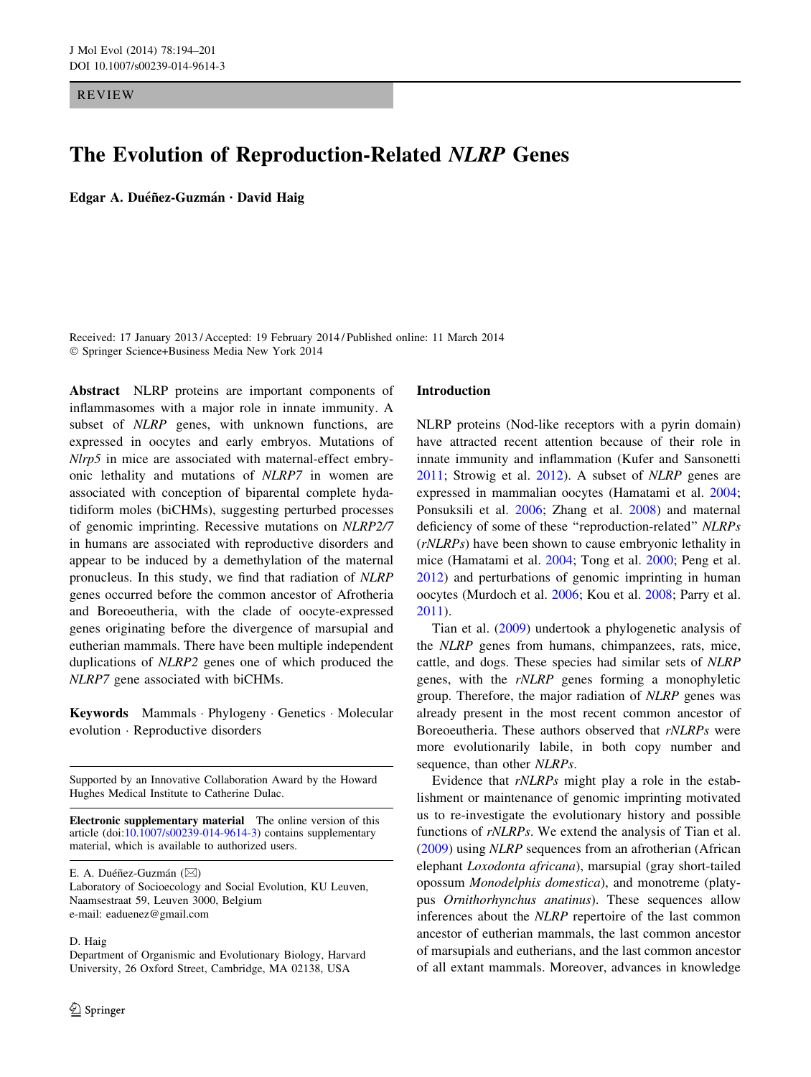REVIEW

# The Evolution of Reproduction-Related NLRP Genes

Edgar A. Duéñez-Guzmán · David Haig

Received: 17 January 2013 / Accepted: 19 February 2014 / Published online: 11 March 2014 - Springer Science+Business Media New York 2014

Abstract NLRP proteins are important components of inflammasomes with a major role in innate immunity. A subset of *NLRP* genes, with unknown functions, are expressed in oocytes and early embryos. Mutations of Nlrp5 in mice are associated with maternal-effect embryonic lethality and mutations of NLRP7 in women are associated with conception of biparental complete hydatidiform moles (biCHMs), suggesting perturbed processes of genomic imprinting. Recessive mutations on NLRP2/7 in humans are associated with reproductive disorders and appear to be induced by a demethylation of the maternal pronucleus. In this study, we find that radiation of NLRP genes occurred before the common ancestor of Afrotheria and Boreoeutheria, with the clade of oocyte-expressed genes originating before the divergence of marsupial and eutherian mammals. There have been multiple independent duplications of NLRP2 genes one of which produced the NLRP7 gene associated with biCHMs.

Keywords Mammals - Phylogeny - Genetics - Molecular evolution - Reproductive disorders

Supported by an Innovative Collaboration Award by the Howard Hughes Medical Institute to Catherine Dulac.

Electronic supplementary material The online version of this article (doi:[10.1007/s00239-014-9614-3\)](http://dx.doi.org/10.1007/s00239-014-9614-3) contains supplementary material, which is available to authorized users.

E. A. Duéñez-Guzmán ( $\boxtimes$ )

Laboratory of Socioecology and Social Evolution, KU Leuven, Naamsestraat 59, Leuven 3000, Belgium e-mail: eaduenez@gmail.com

#### D. Haig

Department of Organismic and Evolutionary Biology, Harvard University, 26 Oxford Street, Cambridge, MA 02138, USA

### Introduction

NLRP proteins (Nod-like receptors with a pyrin domain) have attracted recent attention because of their role in innate immunity and inflammation (Kufer and Sansonetti [2011](#page-7-0); Strowig et al. [2012\)](#page-7-0). A subset of NLRP genes are expressed in mammalian oocytes (Hamatami et al. [2004](#page-6-0); Ponsuksili et al. [2006](#page-7-0); Zhang et al. [2008](#page-7-0)) and maternal deficiency of some of these ''reproduction-related'' NLRPs (rNLRPs) have been shown to cause embryonic lethality in mice (Hamatami et al. [2004;](#page-6-0) Tong et al. [2000;](#page-7-0) Peng et al. [2012](#page-7-0)) and perturbations of genomic imprinting in human oocytes (Murdoch et al. [2006](#page-7-0); Kou et al. [2008](#page-7-0); Parry et al. [2011](#page-7-0)).

Tian et al. ([2009](#page-7-0)) undertook a phylogenetic analysis of the NLRP genes from humans, chimpanzees, rats, mice, cattle, and dogs. These species had similar sets of NLRP genes, with the rNLRP genes forming a monophyletic group. Therefore, the major radiation of NLRP genes was already present in the most recent common ancestor of Boreoeutheria. These authors observed that rNLRPs were more evolutionarily labile, in both copy number and sequence, than other NLRPs.

Evidence that rNLRPs might play a role in the establishment or maintenance of genomic imprinting motivated us to re-investigate the evolutionary history and possible functions of rNLRPs. We extend the analysis of Tian et al. [\(2009](#page-7-0)) using NLRP sequences from an afrotherian (African elephant Loxodonta africana), marsupial (gray short-tailed opossum Monodelphis domestica), and monotreme (platypus Ornithorhynchus anatinus). These sequences allow inferences about the NLRP repertoire of the last common ancestor of eutherian mammals, the last common ancestor of marsupials and eutherians, and the last common ancestor of all extant mammals. Moreover, advances in knowledge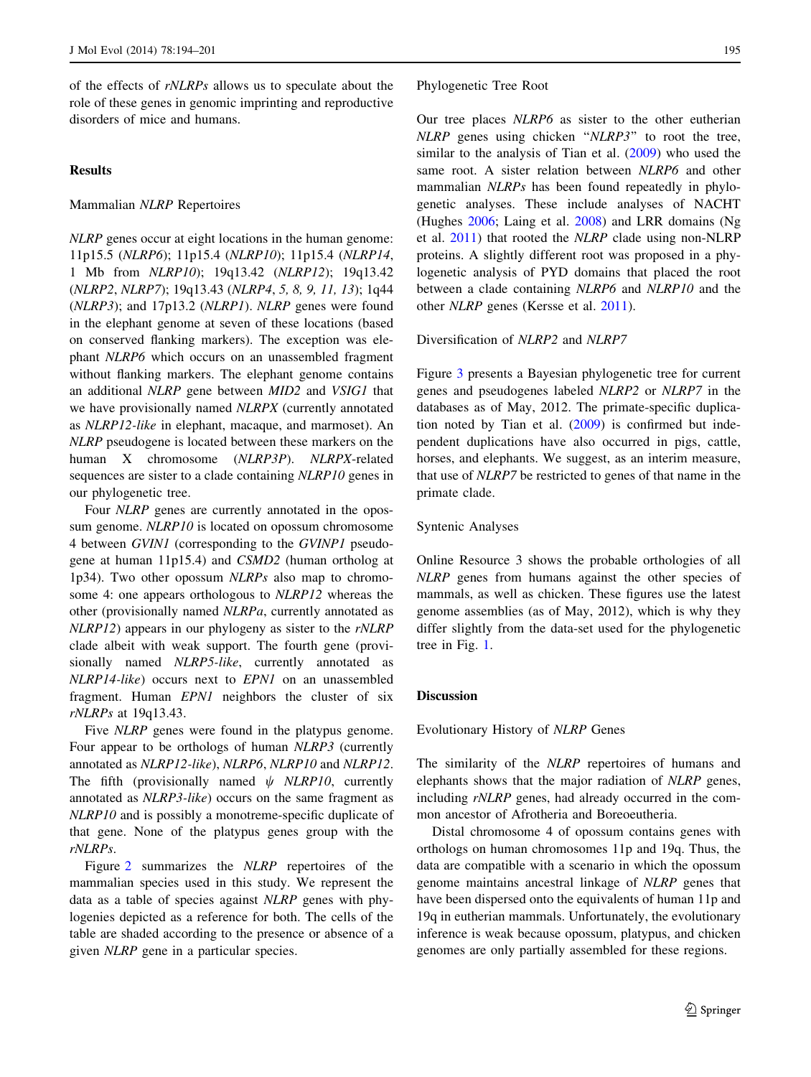of the effects of rNLRPs allows us to speculate about the role of these genes in genomic imprinting and reproductive disorders of mice and humans.

# Results

## Mammalian NLRP Repertoires

NLRP genes occur at eight locations in the human genome: 11p15.5 (NLRP6); 11p15.4 (NLRP10); 11p15.4 (NLRP14, 1 Mb from NLRP10); 19q13.42 (NLRP12); 19q13.42 (NLRP2, NLRP7); 19q13.43 (NLRP4, 5, 8, 9, 11, 13); 1q44 (NLRP3); and 17p13.2 (NLRP1). NLRP genes were found in the elephant genome at seven of these locations (based on conserved flanking markers). The exception was elephant NLRP6 which occurs on an unassembled fragment without flanking markers. The elephant genome contains an additional NLRP gene between MID2 and VSIG1 that we have provisionally named NLRPX (currently annotated as NLRP12-like in elephant, macaque, and marmoset). An NLRP pseudogene is located between these markers on the human X chromosome (NLRP3P). NLRPX-related sequences are sister to a clade containing NLRP10 genes in our phylogenetic tree.

Four NLRP genes are currently annotated in the opossum genome. *NLRP10* is located on opossum chromosome 4 between GVIN1 (corresponding to the GVINP1 pseudogene at human 11p15.4) and CSMD2 (human ortholog at 1p34). Two other opossum NLRPs also map to chromosome 4: one appears orthologous to NLRP12 whereas the other (provisionally named NLRPa, currently annotated as NLRP12) appears in our phylogeny as sister to the rNLRP clade albeit with weak support. The fourth gene (provisionally named *NLRP5-like*, currently annotated as NLRP14-like) occurs next to EPN1 on an unassembled fragment. Human EPN1 neighbors the cluster of six rNLRPs at 19q13.43.

Five *NLRP* genes were found in the platypus genome. Four appear to be orthologs of human NLRP3 (currently annotated as NLRP12-like), NLRP6, NLRP10 and NLRP12. The fifth (provisionally named  $\psi$  NLRP10, currently annotated as NLRP3-like) occurs on the same fragment as NLRP10 and is possibly a monotreme-specific duplicate of that gene. None of the platypus genes group with the rNLRPs.

Figure [2](#page-4-0) summarizes the NLRP repertoires of the mammalian species used in this study. We represent the data as a table of species against NLRP genes with phylogenies depicted as a reference for both. The cells of the table are shaded according to the presence or absence of a given NLRP gene in a particular species.

## Phylogenetic Tree Root

Our tree places NLRP6 as sister to the other eutherian NLRP genes using chicken ''NLRP3'' to root the tree, similar to the analysis of Tian et al. [\(2009](#page-7-0)) who used the same root. A sister relation between NLRP6 and other mammalian NLRPs has been found repeatedly in phylogenetic analyses. These include analyses of NACHT (Hughes [2006;](#page-6-0) Laing et al. [2008](#page-7-0)) and LRR domains (Ng et al. [2011\)](#page-7-0) that rooted the NLRP clade using non-NLRP proteins. A slightly different root was proposed in a phylogenetic analysis of PYD domains that placed the root between a clade containing NLRP6 and NLRP10 and the other NLRP genes (Kersse et al. [2011](#page-7-0)).

# Diversification of NLRP2 and NLRP7

Figure [3](#page-4-0) presents a Bayesian phylogenetic tree for current genes and pseudogenes labeled NLRP2 or NLRP7 in the databases as of May, 2012. The primate-specific duplication noted by Tian et al. [\(2009](#page-7-0)) is confirmed but independent duplications have also occurred in pigs, cattle, horses, and elephants. We suggest, as an interim measure, that use of NLRP7 be restricted to genes of that name in the primate clade.

## Syntenic Analyses

Online Resource 3 shows the probable orthologies of all NLRP genes from humans against the other species of mammals, as well as chicken. These figures use the latest genome assemblies (as of May, 2012), which is why they differ slightly from the data-set used for the phylogenetic tree in Fig. [1.](#page-4-0)

## Discussion

Evolutionary History of NLRP Genes

The similarity of the NLRP repertoires of humans and elephants shows that the major radiation of NLRP genes, including rNLRP genes, had already occurred in the common ancestor of Afrotheria and Boreoeutheria.

Distal chromosome 4 of opossum contains genes with orthologs on human chromosomes 11p and 19q. Thus, the data are compatible with a scenario in which the opossum genome maintains ancestral linkage of NLRP genes that have been dispersed onto the equivalents of human 11p and 19q in eutherian mammals. Unfortunately, the evolutionary inference is weak because opossum, platypus, and chicken genomes are only partially assembled for these regions.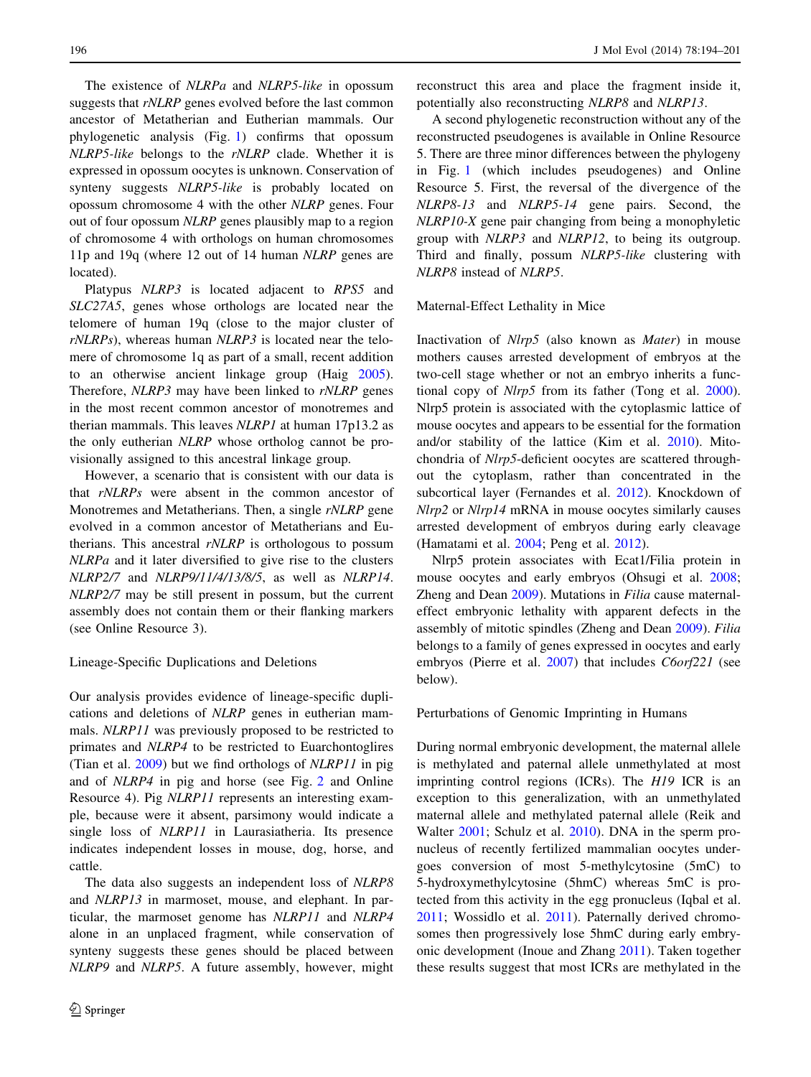The existence of *NLRPa* and *NLRP5-like* in opossum suggests that rNLRP genes evolved before the last common ancestor of Metatherian and Eutherian mammals. Our phylogenetic analysis (Fig. [1\)](#page-4-0) confirms that opossum NLRP5-like belongs to the rNLRP clade. Whether it is expressed in opossum oocytes is unknown. Conservation of synteny suggests NLRP5-like is probably located on opossum chromosome 4 with the other NLRP genes. Four out of four opossum NLRP genes plausibly map to a region of chromosome 4 with orthologs on human chromosomes 11p and 19q (where 12 out of 14 human NLRP genes are located).

Platypus NLRP3 is located adjacent to RPS5 and SLC27A5, genes whose orthologs are located near the telomere of human 19q (close to the major cluster of rNLRPs), whereas human NLRP3 is located near the telomere of chromosome 1q as part of a small, recent addition to an otherwise ancient linkage group (Haig [2005](#page-6-0)). Therefore, *NLRP3* may have been linked to *rNLRP* genes in the most recent common ancestor of monotremes and therian mammals. This leaves NLRP1 at human 17p13.2 as the only eutherian NLRP whose ortholog cannot be provisionally assigned to this ancestral linkage group.

However, a scenario that is consistent with our data is that rNLRPs were absent in the common ancestor of Monotremes and Metatherians. Then, a single rNLRP gene evolved in a common ancestor of Metatherians and Eutherians. This ancestral rNLRP is orthologous to possum NLRPa and it later diversified to give rise to the clusters NLRP2/7 and NLRP9/11/4/13/8/5, as well as NLRP14. NLRP2/7 may be still present in possum, but the current assembly does not contain them or their flanking markers (see Online Resource 3).

Lineage-Specific Duplications and Deletions

Our analysis provides evidence of lineage-specific duplications and deletions of NLRP genes in eutherian mammals. NLRP11 was previously proposed to be restricted to primates and NLRP4 to be restricted to Euarchontoglires (Tian et al. [2009](#page-7-0)) but we find orthologs of NLRP11 in pig and of NLRP4 in pig and horse (see Fig. [2](#page-4-0) and Online Resource 4). Pig NLRP11 represents an interesting example, because were it absent, parsimony would indicate a single loss of NLRP11 in Laurasiatheria. Its presence indicates independent losses in mouse, dog, horse, and cattle.

The data also suggests an independent loss of NLRP8 and NLRP13 in marmoset, mouse, and elephant. In particular, the marmoset genome has NLRP11 and NLRP4 alone in an unplaced fragment, while conservation of synteny suggests these genes should be placed between NLRP9 and NLRP5. A future assembly, however, might

reconstruct this area and place the fragment inside it, potentially also reconstructing NLRP8 and NLRP13.

A second phylogenetic reconstruction without any of the reconstructed pseudogenes is available in Online Resource 5. There are three minor differences between the phylogeny in Fig. [1](#page-4-0) (which includes pseudogenes) and Online Resource 5. First, the reversal of the divergence of the NLRP8-13 and NLRP5-14 gene pairs. Second, the NLRP10-X gene pair changing from being a monophyletic group with NLRP3 and NLRP12, to being its outgroup. Third and finally, possum NLRP5-like clustering with NLRP8 instead of NLRP5.

Maternal-Effect Lethality in Mice

Inactivation of Nlrp5 (also known as Mater) in mouse mothers causes arrested development of embryos at the two-cell stage whether or not an embryo inherits a functional copy of Nlrp5 from its father (Tong et al. [2000](#page-7-0)). Nlrp5 protein is associated with the cytoplasmic lattice of mouse oocytes and appears to be essential for the formation and/or stability of the lattice (Kim et al. [2010](#page-7-0)). Mitochondria of Nlrp5-deficient oocytes are scattered throughout the cytoplasm, rather than concentrated in the subcortical layer (Fernandes et al. [2012\)](#page-6-0). Knockdown of Nlrp2 or Nlrp14 mRNA in mouse oocytes similarly causes arrested development of embryos during early cleavage (Hamatami et al. [2004](#page-6-0); Peng et al. [2012](#page-7-0)).

Nlrp5 protein associates with Ecat1/Filia protein in mouse oocytes and early embryos (Ohsugi et al. [2008](#page-7-0); Zheng and Dean [2009\)](#page-7-0). Mutations in Filia cause maternaleffect embryonic lethality with apparent defects in the assembly of mitotic spindles (Zheng and Dean [2009](#page-7-0)). Filia belongs to a family of genes expressed in oocytes and early embryos (Pierre et al. [2007](#page-7-0)) that includes *C6orf221* (see below).

#### Perturbations of Genomic Imprinting in Humans

During normal embryonic development, the maternal allele is methylated and paternal allele unmethylated at most imprinting control regions (ICRs). The H19 ICR is an exception to this generalization, with an unmethylated maternal allele and methylated paternal allele (Reik and Walter [2001;](#page-7-0) Schulz et al. [2010](#page-7-0)). DNA in the sperm pronucleus of recently fertilized mammalian oocytes undergoes conversion of most 5-methylcytosine (5mC) to 5-hydroxymethylcytosine (5hmC) whereas 5mC is protected from this activity in the egg pronucleus (Iqbal et al. [2011](#page-7-0); Wossidlo et al. [2011\)](#page-7-0). Paternally derived chromosomes then progressively lose 5hmC during early embryonic development (Inoue and Zhang [2011](#page-6-0)). Taken together these results suggest that most ICRs are methylated in the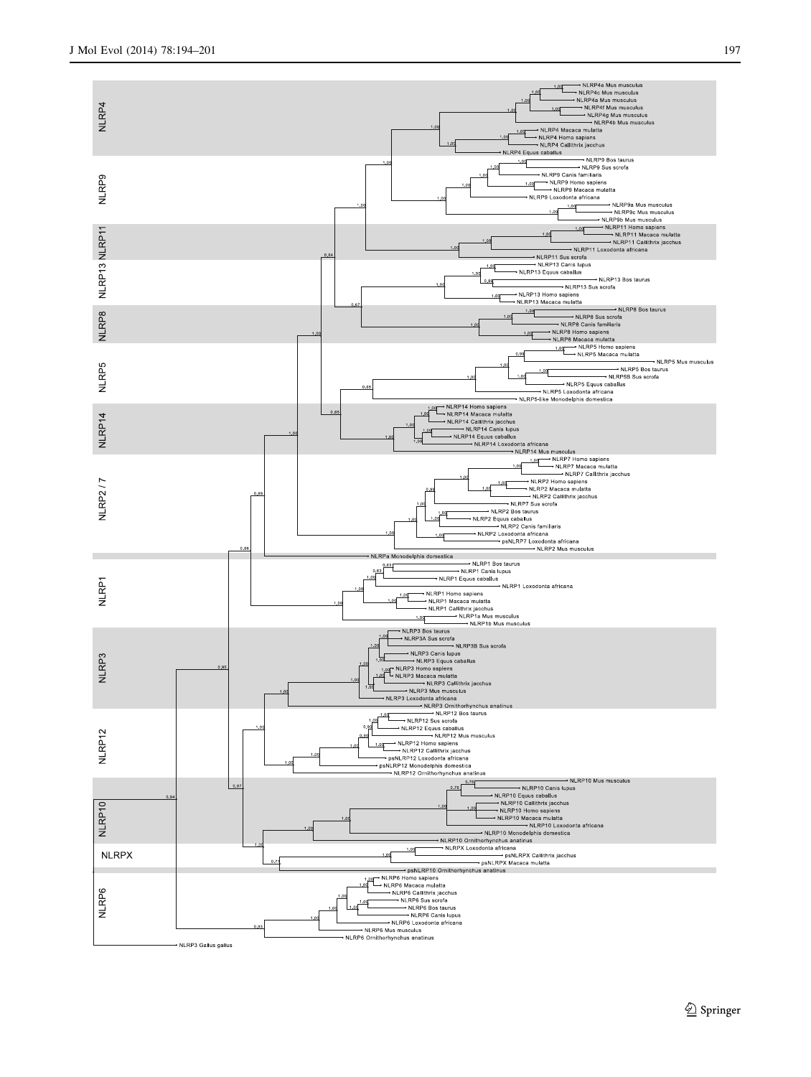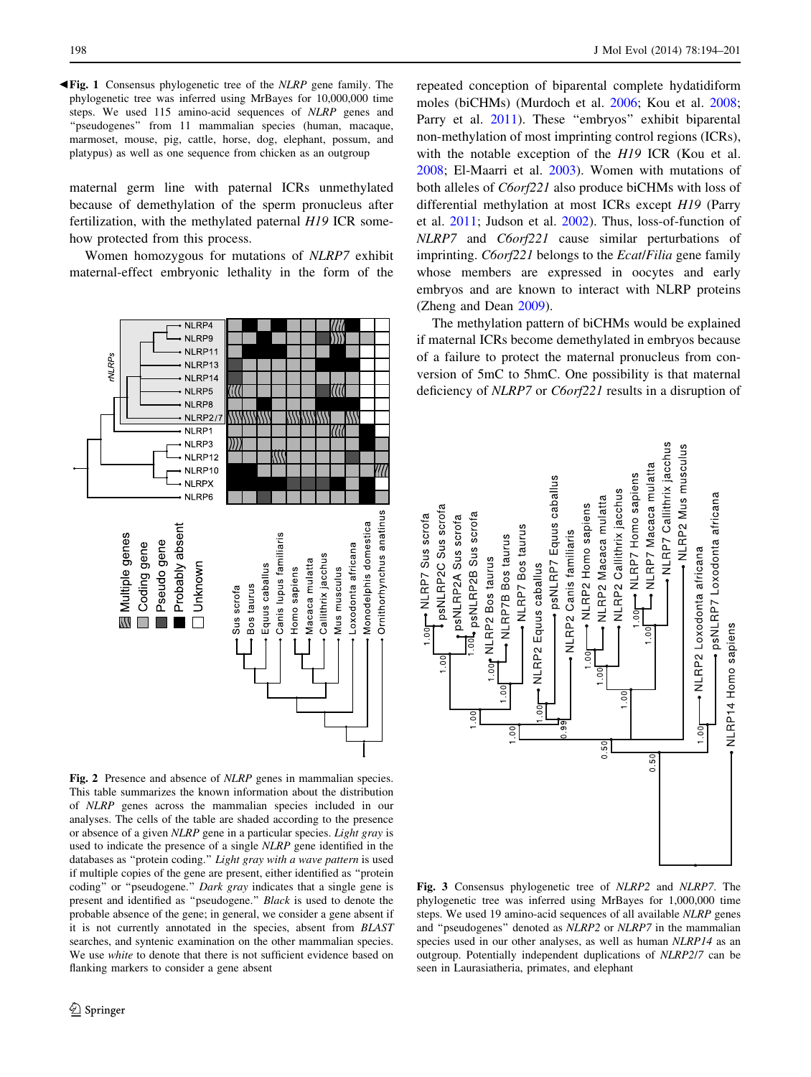<span id="page-4-0"></span>b Fig. 1 Consensus phylogenetic tree of the NLRP gene family. The phylogenetic tree was inferred using MrBayes for 10,000,000 time steps. We used 115 amino-acid sequences of NLRP genes and "pseudogenes" from 11 mammalian species (human, macaque, marmoset, mouse, pig, cattle, horse, dog, elephant, possum, and platypus) as well as one sequence from chicken as an outgroup

maternal germ line with paternal ICRs unmethylated because of demethylation of the sperm pronucleus after fertilization, with the methylated paternal H19 ICR somehow protected from this process.

Women homozygous for mutations of NLRP7 exhibit maternal-effect embryonic lethality in the form of the



Fig. 2 Presence and absence of NLRP genes in mammalian species. This table summarizes the known information about the distribution of NLRP genes across the mammalian species included in our analyses. The cells of the table are shaded according to the presence or absence of a given NLRP gene in a particular species. Light gray is used to indicate the presence of a single NLRP gene identified in the databases as ''protein coding.'' Light gray with a wave pattern is used if multiple copies of the gene are present, either identified as ''protein coding" or "pseudogene." Dark gray indicates that a single gene is present and identified as ''pseudogene.'' Black is used to denote the probable absence of the gene; in general, we consider a gene absent if it is not currently annotated in the species, absent from BLAST searches, and syntenic examination on the other mammalian species. We use white to denote that there is not sufficient evidence based on flanking markers to consider a gene absent

repeated conception of biparental complete hydatidiform moles (biCHMs) (Murdoch et al. [2006](#page-7-0); Kou et al. [2008](#page-7-0); Parry et al. [2011](#page-7-0)). These "embryos" exhibit biparental non-methylation of most imprinting control regions (ICRs), with the notable exception of the H19 ICR (Kou et al. [2008](#page-7-0); El-Maarri et al. [2003](#page-6-0)). Women with mutations of both alleles of C6orf221 also produce biCHMs with loss of differential methylation at most ICRs except H19 (Parry et al. [2011;](#page-7-0) Judson et al. [2002\)](#page-7-0). Thus, loss-of-function of NLRP7 and C6orf221 cause similar perturbations of imprinting. *C6orf221* belongs to the *Ecat/Filia* gene family whose members are expressed in oocytes and early embryos and are known to interact with NLRP proteins (Zheng and Dean [2009\)](#page-7-0).

The methylation pattern of biCHMs would be explained if maternal ICRs become demethylated in embryos because of a failure to protect the maternal pronucleus from conversion of 5mC to 5hmC. One possibility is that maternal deficiency of *NLRP7* or *C6orf221* results in a disruption of



Fig. 3 Consensus phylogenetic tree of NLRP2 and NLRP7. The phylogenetic tree was inferred using MrBayes for 1,000,000 time steps. We used 19 amino-acid sequences of all available NLRP genes and ''pseudogenes'' denoted as NLRP2 or NLRP7 in the mammalian species used in our other analyses, as well as human NLRP14 as an outgroup. Potentially independent duplications of NLRP2/7 can be seen in Laurasiatheria, primates, and elephant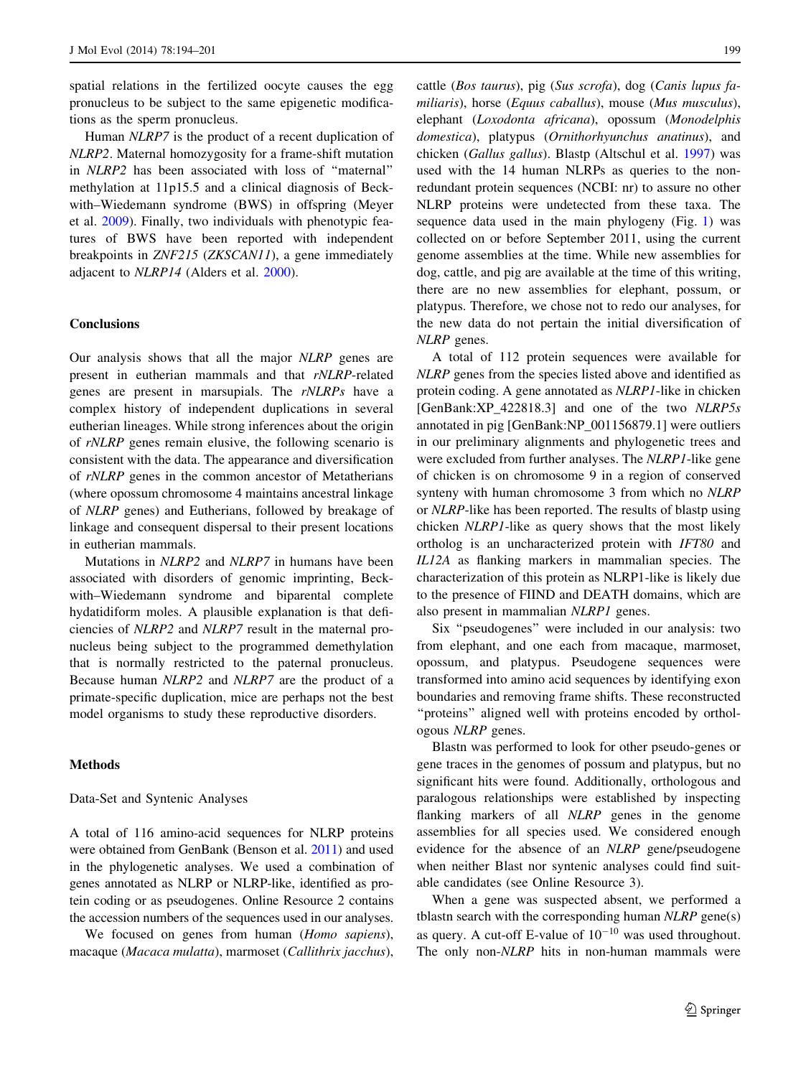spatial relations in the fertilized oocyte causes the egg pronucleus to be subject to the same epigenetic modifications as the sperm pronucleus.

Human NLRP7 is the product of a recent duplication of NLRP2. Maternal homozygosity for a frame-shift mutation in NLRP2 has been associated with loss of ''maternal'' methylation at 11p15.5 and a clinical diagnosis of Beckwith–Wiedemann syndrome (BWS) in offspring (Meyer et al. [2009\)](#page-7-0). Finally, two individuals with phenotypic features of BWS have been reported with independent breakpoints in ZNF215 (ZKSCAN11), a gene immediately adjacent to NLRP14 (Alders et al. [2000\)](#page-6-0).

## **Conclusions**

Our analysis shows that all the major NLRP genes are present in eutherian mammals and that rNLRP-related genes are present in marsupials. The rNLRPs have a complex history of independent duplications in several eutherian lineages. While strong inferences about the origin of rNLRP genes remain elusive, the following scenario is consistent with the data. The appearance and diversification of rNLRP genes in the common ancestor of Metatherians (where opossum chromosome 4 maintains ancestral linkage of NLRP genes) and Eutherians, followed by breakage of linkage and consequent dispersal to their present locations in eutherian mammals.

Mutations in NLRP2 and NLRP7 in humans have been associated with disorders of genomic imprinting, Beckwith–Wiedemann syndrome and biparental complete hydatidiform moles. A plausible explanation is that deficiencies of NLRP2 and NLRP7 result in the maternal pronucleus being subject to the programmed demethylation that is normally restricted to the paternal pronucleus. Because human NLRP2 and NLRP7 are the product of a primate-specific duplication, mice are perhaps not the best model organisms to study these reproductive disorders.

# Methods

### Data-Set and Syntenic Analyses

A total of 116 amino-acid sequences for NLRP proteins were obtained from GenBank (Benson et al. [2011](#page-6-0)) and used in the phylogenetic analyses. We used a combination of genes annotated as NLRP or NLRP-like, identified as protein coding or as pseudogenes. Online Resource 2 contains the accession numbers of the sequences used in our analyses.

We focused on genes from human (Homo sapiens), macaque (Macaca mulatta), marmoset (Callithrix jacchus), cattle (Bos taurus), pig (Sus scrofa), dog (Canis lupus familiaris), horse (Equus caballus), mouse (Mus musculus), elephant (Loxodonta africana), opossum (Monodelphis domestica), platypus (Ornithorhyunchus anatinus), and chicken (Gallus gallus). Blastp (Altschul et al. [1997\)](#page-6-0) was used with the 14 human NLRPs as queries to the nonredundant protein sequences (NCBI: nr) to assure no other NLRP proteins were undetected from these taxa. The sequence data used in the main phylogeny (Fig. [1\)](#page-4-0) was collected on or before September 2011, using the current genome assemblies at the time. While new assemblies for dog, cattle, and pig are available at the time of this writing, there are no new assemblies for elephant, possum, or platypus. Therefore, we chose not to redo our analyses, for the new data do not pertain the initial diversification of NLRP genes.

A total of 112 protein sequences were available for NLRP genes from the species listed above and identified as protein coding. A gene annotated as NLRP1-like in chicken [GenBank:XP\_422818.3] and one of the two NLRP5s annotated in pig [GenBank:NP\_001156879.1] were outliers in our preliminary alignments and phylogenetic trees and were excluded from further analyses. The NLRP1-like gene of chicken is on chromosome 9 in a region of conserved synteny with human chromosome 3 from which no NLRP or NLRP-like has been reported. The results of blastp using chicken NLRP1-like as query shows that the most likely ortholog is an uncharacterized protein with IFT80 and IL12A as flanking markers in mammalian species. The characterization of this protein as NLRP1-like is likely due to the presence of FIIND and DEATH domains, which are also present in mammalian NLRP1 genes.

Six ''pseudogenes'' were included in our analysis: two from elephant, and one each from macaque, marmoset, opossum, and platypus. Pseudogene sequences were transformed into amino acid sequences by identifying exon boundaries and removing frame shifts. These reconstructed ''proteins'' aligned well with proteins encoded by orthologous NLRP genes.

Blastn was performed to look for other pseudo-genes or gene traces in the genomes of possum and platypus, but no significant hits were found. Additionally, orthologous and paralogous relationships were established by inspecting flanking markers of all *NLRP* genes in the genome assemblies for all species used. We considered enough evidence for the absence of an NLRP gene/pseudogene when neither Blast nor syntenic analyses could find suitable candidates (see Online Resource 3).

When a gene was suspected absent, we performed a tblastn search with the corresponding human  $NLRP$  gene(s) as query. A cut-off E-value of  $10^{-10}$  was used throughout. The only non-NLRP hits in non-human mammals were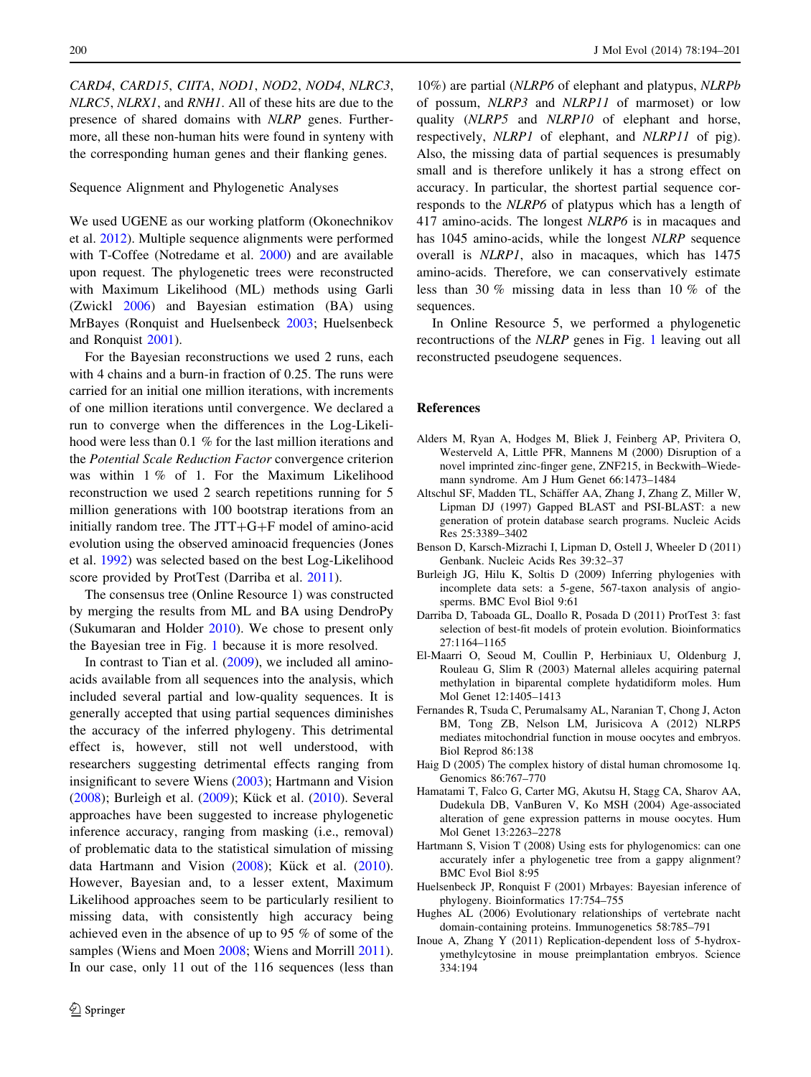<span id="page-6-0"></span>CARD4, CARD15, CIITA, NOD1, NOD2, NOD4, NLRC3, NLRC5, NLRX1, and RNH1. All of these hits are due to the presence of shared domains with NLRP genes. Furthermore, all these non-human hits were found in synteny with the corresponding human genes and their flanking genes.

# Sequence Alignment and Phylogenetic Analyses

We used UGENE as our working platform (Okonechnikov et al. [2012](#page-7-0)). Multiple sequence alignments were performed with T-Coffee (Notredame et al. [2000\)](#page-7-0) and are available upon request. The phylogenetic trees were reconstructed with Maximum Likelihood (ML) methods using Garli (Zwickl [2006\)](#page-7-0) and Bayesian estimation (BA) using MrBayes (Ronquist and Huelsenbeck [2003](#page-7-0); Huelsenbeck and Ronquist 2001).

For the Bayesian reconstructions we used 2 runs, each with 4 chains and a burn-in fraction of 0.25. The runs were carried for an initial one million iterations, with increments of one million iterations until convergence. We declared a run to converge when the differences in the Log-Likelihood were less than 0.1 % for the last million iterations and the Potential Scale Reduction Factor convergence criterion was within 1 % of 1. For the Maximum Likelihood reconstruction we used 2 search repetitions running for 5 million generations with 100 bootstrap iterations from an initially random tree. The  $JTT+G+F$  model of amino-acid evolution using the observed aminoacid frequencies (Jones et al. [1992\)](#page-7-0) was selected based on the best Log-Likelihood score provided by ProtTest (Darriba et al. 2011).

The consensus tree (Online Resource 1) was constructed by merging the results from ML and BA using DendroPy (Sukumaran and Holder [2010](#page-7-0)). We chose to present only the Bayesian tree in Fig. [1](#page-4-0) because it is more resolved.

In contrast to Tian et al. ([2009\)](#page-7-0), we included all aminoacids available from all sequences into the analysis, which included several partial and low-quality sequences. It is generally accepted that using partial sequences diminishes the accuracy of the inferred phylogeny. This detrimental effect is, however, still not well understood, with researchers suggesting detrimental effects ranging from insignificant to severe Wiens ([2003\)](#page-7-0); Hartmann and Vision (2008); Burleigh et al. (2009); Kück et al. [\(2010](#page-7-0)). Several approaches have been suggested to increase phylogenetic inference accuracy, ranging from masking (i.e., removal) of problematic data to the statistical simulation of missing data Hartmann and Vision  $(2008)$ ; Kück et al.  $(2010)$  $(2010)$ . However, Bayesian and, to a lesser extent, Maximum Likelihood approaches seem to be particularly resilient to missing data, with consistently high accuracy being achieved even in the absence of up to 95 % of some of the samples (Wiens and Moen [2008;](#page-7-0) Wiens and Morrill [2011](#page-7-0)). In our case, only 11 out of the 116 sequences (less than

10%) are partial (NLRP6 of elephant and platypus, NLRPb of possum, NLRP3 and NLRP11 of marmoset) or low quality (NLRP5 and NLRP10 of elephant and horse, respectively, NLRP1 of elephant, and NLRP11 of pig). Also, the missing data of partial sequences is presumably small and is therefore unlikely it has a strong effect on accuracy. In particular, the shortest partial sequence corresponds to the NLRP6 of platypus which has a length of 417 amino-acids. The longest NLRP6 is in macaques and has 1045 amino-acids, while the longest NLRP sequence overall is NLRP1, also in macaques, which has 1475 amino-acids. Therefore, we can conservatively estimate less than 30 % missing data in less than 10 % of the sequences.

In Online Resource 5, we performed a phylogenetic recontructions of the NLRP genes in Fig. [1](#page-4-0) leaving out all reconstructed pseudogene sequences.

### References

- Alders M, Ryan A, Hodges M, Bliek J, Feinberg AP, Privitera O, Westerveld A, Little PFR, Mannens M (2000) Disruption of a novel imprinted zinc-finger gene, ZNF215, in Beckwith–Wiedemann syndrome. Am J Hum Genet 66:1473–1484
- Altschul SF, Madden TL, Schäffer AA, Zhang J, Zhang Z, Miller W, Lipman DJ (1997) Gapped BLAST and PSI-BLAST: a new generation of protein database search programs. Nucleic Acids Res 25:3389–3402
- Benson D, Karsch-Mizrachi I, Lipman D, Ostell J, Wheeler D (2011) Genbank. Nucleic Acids Res 39:32–37
- Burleigh JG, Hilu K, Soltis D (2009) Inferring phylogenies with incomplete data sets: a 5-gene, 567-taxon analysis of angiosperms. BMC Evol Biol 9:61
- Darriba D, Taboada GL, Doallo R, Posada D (2011) ProtTest 3: fast selection of best-fit models of protein evolution. Bioinformatics 27:1164–1165
- El-Maarri O, Seoud M, Coullin P, Herbiniaux U, Oldenburg J, Rouleau G, Slim R (2003) Maternal alleles acquiring paternal methylation in biparental complete hydatidiform moles. Hum Mol Genet 12:1405–1413
- Fernandes R, Tsuda C, Perumalsamy AL, Naranian T, Chong J, Acton BM, Tong ZB, Nelson LM, Jurisicova A (2012) NLRP5 mediates mitochondrial function in mouse oocytes and embryos. Biol Reprod 86:138
- Haig D (2005) The complex history of distal human chromosome 1q. Genomics 86:767–770
- Hamatami T, Falco G, Carter MG, Akutsu H, Stagg CA, Sharov AA, Dudekula DB, VanBuren V, Ko MSH (2004) Age-associated alteration of gene expression patterns in mouse oocytes. Hum Mol Genet 13:2263–2278
- Hartmann S, Vision T (2008) Using ests for phylogenomics: can one accurately infer a phylogenetic tree from a gappy alignment? BMC Evol Biol 8:95
- Huelsenbeck JP, Ronquist F (2001) Mrbayes: Bayesian inference of phylogeny. Bioinformatics 17:754–755
- Hughes AL (2006) Evolutionary relationships of vertebrate nacht domain-containing proteins. Immunogenetics 58:785–791
- Inoue A, Zhang Y (2011) Replication-dependent loss of 5-hydroxymethylcytosine in mouse preimplantation embryos. Science 334:194